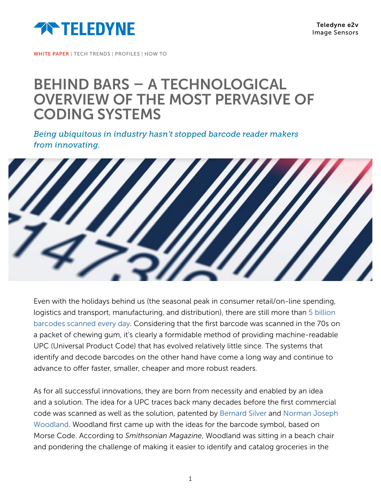

WHITE PAPER | TECH TRENDS | PROFILES | HOW TO

## BEHIND BARS – A TECHNOLOGICAL OVERVIEW OF THE MOST PERVASIVE OF CODING SYSTEMS

*Being ubiquitous in industry hasn't stopped barcode reader makers from innovating.*



Even with the holidays behind us (the seasonal peak in consumer retail/on-line spending, logistics and transport, manufacturing, and distribution), there are still more than [5 billion](https://qz.com/emails/quartz-obsession/1311173/)  [barcodes scanned every day.](https://qz.com/emails/quartz-obsession/1311173/) Considering that the first barcode was scanned in the 70s on a packet of chewing gum, it's clearly a formidable method of providing machine-readable UPC (Universal Product Code) that has evolved relatively little since. The systems that identify and decode barcodes on the other hand have come a long way and continue to advance to offer faster, smaller, cheaper and more robust readers.

As for all successful innovations, they are born from necessity and enabled by an idea and a solution. The idea for a UPC traces back many decades before the first commercial code was scanned as well as the solution, patented by [Bernard Silver](https://en.wikipedia.org/wiki/Bernard_Silver) and [Norman Joseph](https://en.wikipedia.org/wiki/Norman_Joseph_Woodland)  [Woodland](https://en.wikipedia.org/wiki/Norman_Joseph_Woodland). Woodland first came up with the ideas for the barcode symbol, based on Morse Code. According to *Smithsonian Magazine*, Woodland was sitting in a beach chair and pondering the challenge of making it easier to identify and catalog groceries in the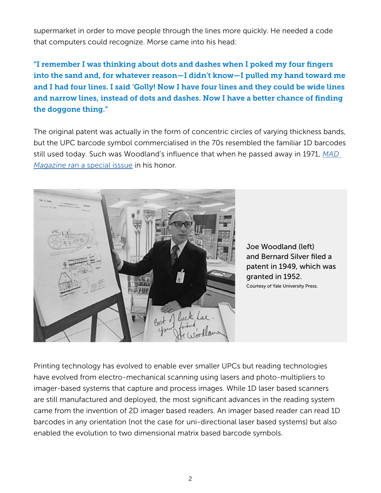supermarket in order to move people through the lines more quickly. He needed a code that computers could recognize. Morse came into his head:

"I remember I was thinking about dots and dashes when I poked my four fingers into the sand and, for whatever reason—I didn't know—I pulled my hand toward me and I had four lines. I said 'Golly! Now I have four lines and they could be wide lines and narrow lines, instead of dots and dashes. Now I have a better chance of finding the doggone thing."

The original patent was actually in the form of concentric circles of varying thickness bands, but the UPC barcode symbol commercialised in the 70s resembled the familiar 1D barcodes still used today. Such was Woodland's influence that when he passed away in 1971, *[MAD](https://www.madmagazine.com/blog/2012/12/14/rip-n-joseph-woodland)  Magazine* [ran a special isssue](https://www.madmagazine.com/blog/2012/12/14/rip-n-joseph-woodland) in his honor.



Joe Woodland (left) and Bernard Silver filed a patent in 1949, which was granted in 1952. Courtesy of Yale University Press.

Printing technology has evolved to enable ever smaller UPCs but reading technologies have evolved from electro-mechanical scanning using lasers and photo-multipliers to imager-based systems that capture and process images. While 1D laser based scanners are still manufactured and deployed, the most significant advances in the reading system came from the invention of 2D imager based readers. An imager based reader can read 1D barcodes in any orientation (not the case for uni-directional laser based systems) but also enabled the evolution to two dimensional matrix based barcode symbols.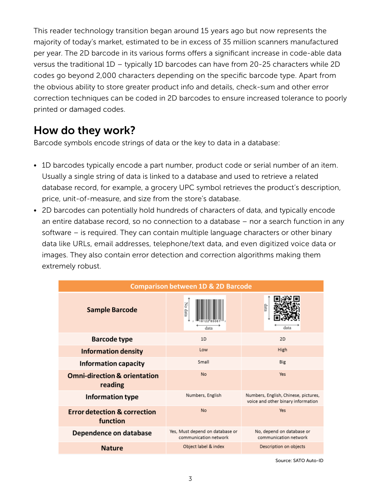This reader technology transition began around 15 years ago but now represents the majority of today's market, estimated to be in excess of 35 million scanners manufactured per year. The 2D barcode in its various forms offers a significant increase in code-able data versus the traditional 1D – typically 1D barcodes can have from 20-25 characters while 2D codes go beyond 2,000 characters depending on the specific barcode type. Apart from the obvious ability to store greater product info and details, check-sum and other error correction techniques can be coded in 2D barcodes to ensure increased tolerance to poorly printed or damaged codes.

## How do they work?

Barcode symbols encode strings of data or the key to data in a database:

- 1D barcodes typically encode a part number, product code or serial number of an item. Usually a single string of data is linked to a database and used to retrieve a related database record, for example, a grocery UPC symbol retrieves the product's description, price, unit-of-measure, and size from the store's database.
- 2D barcodes can potentially hold hundreds of characters of data, and typically encode an entire database record, so no connection to a database – nor a search function in any software – is required. They can contain multiple language characters or other binary data like URLs, email addresses, telephone/text data, and even digitized voice data or images. They also contain error detection and correction algorithms making them extremely robust.

| <b>Comparison between 1D &amp; 2D Barcode</b>       |                                                          |                                                                            |
|-----------------------------------------------------|----------------------------------------------------------|----------------------------------------------------------------------------|
| <b>Sample Barcode</b>                               | No data<br>data                                          | qata<br>data                                                               |
| <b>Barcode type</b>                                 | 1D                                                       | 2D                                                                         |
| <b>Information density</b>                          | Low                                                      | High                                                                       |
| <b>Information capacity</b>                         | Small                                                    | Big                                                                        |
| <b>Omni-direction &amp; orientation</b><br>reading  | <b>No</b>                                                | Yes                                                                        |
| Information type                                    | Numbers, English                                         | Numbers, English, Chinese, pictures,<br>voice and other binary information |
| <b>Error detection &amp; correction</b><br>function | <b>No</b>                                                | Yes                                                                        |
| Dependence on database                              | Yes, Must depend on database or<br>communication network | No, depend on database or<br>communication network                         |
| <b>Nature</b>                                       | Object label & index                                     | Description on objects                                                     |

Source: SATO Auto-ID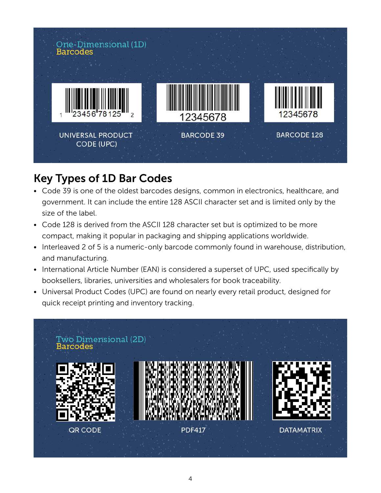

## Key Types of 1D Bar Codes

- Code 39 is one of the oldest barcodes designs, common in electronics, healthcare, and government. It can include the entire 128 ASCII character set and is limited only by the size of the label.
- Code 128 is derived from the ASCII 128 character set but is optimized to be more compact, making it popular in packaging and shipping applications worldwide.
- Interleaved 2 of 5 is a numeric-only barcode commonly found in warehouse, distribution, and manufacturing.
- International Article Number (EAN) is considered a superset of UPC, used specifically by booksellers, libraries, universities and wholesalers for book traceability.
- Universal Product Codes (UPC) are found on nearly every retail product, designed for quick receipt printing and inventory tracking.

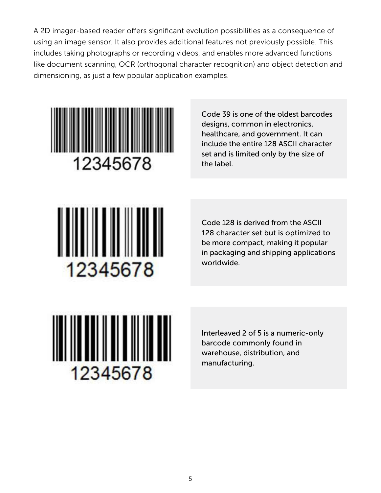A 2D imager-based reader offers significant evolution possibilities as a consequence of using an image sensor. It also provides additional features not previously possible. This includes taking photographs or recording videos, and enables more advanced functions like document scanning, OCR (orthogonal character recognition) and object detection and dimensioning, as just a few popular application examples.



Code 39 is one of the oldest barcodes designs, common in electronics, healthcare, and government. It can include the entire 128 ASCII character set and is limited only by the size of the label.



Code 128 is derived from the ASCII 128 character set but is optimized to be more compact, making it popular in packaging and shipping applications worldwide.



Interleaved 2 of 5 is a numeric-only barcode commonly found in warehouse, distribution, and manufacturing.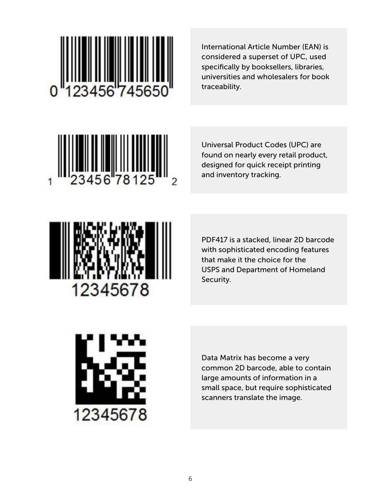

International Article Number (EAN) is considered a superset of UPC, used specifically by booksellers, libraries, universities and wholesalers for book traceability.



Universal Product Codes (UPC) are found on nearly every retail product, designed for quick receipt printing and inventory tracking.



PDF417 is a stacked, linear 2D barcode with sophisticated encoding features that make it the choice for the USPS and Department of Homeland Security.



Data Matrix has become a very common 2D barcode, able to contain large amounts of information in a small space, but require sophisticated scanners translate the image.